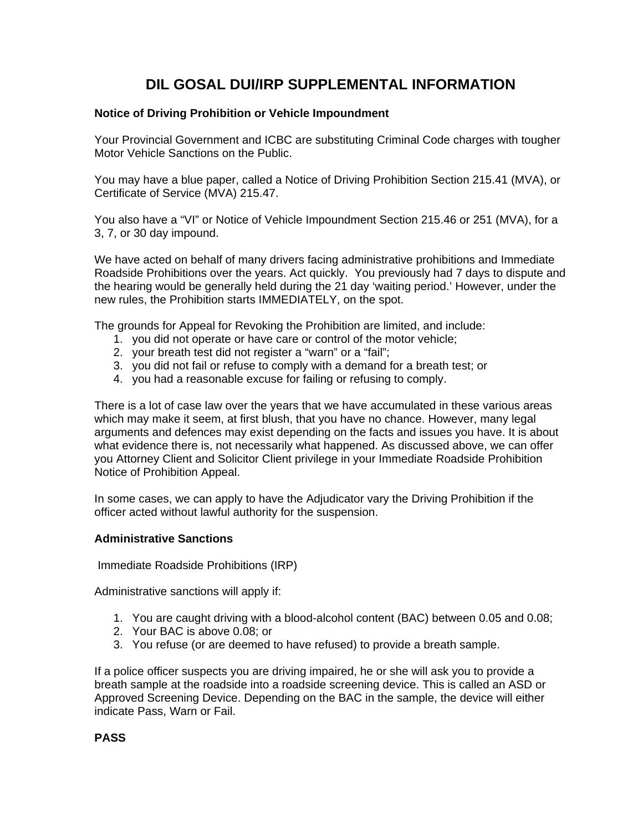# **DIL GOSAL DUI/IRP SUPPLEMENTAL INFORMATION**

## **Notice of Driving Prohibition or Vehicle Impoundment**

Your Provincial Government and ICBC are substituting Criminal Code charges with tougher Motor Vehicle Sanctions on the Public.

You may have a blue paper, called a Notice of Driving Prohibition Section 215.41 (MVA), or Certificate of Service (MVA) 215.47.

You also have a "VI" or Notice of Vehicle Impoundment Section 215.46 or 251 (MVA), for a 3, 7, or 30 day impound.

We have acted on behalf of many drivers facing administrative prohibitions and Immediate Roadside Prohibitions over the years. Act quickly. You previously had 7 days to dispute and the hearing would be generally held during the 21 day 'waiting period.' However, under the new rules, the Prohibition starts IMMEDIATELY, on the spot.

The grounds for Appeal for Revoking the Prohibition are limited, and include:

- 1. you did not operate or have care or control of the motor vehicle;
- 2. your breath test did not register a "warn" or a "fail";
- 3. you did not fail or refuse to comply with a demand for a breath test; or
- 4. you had a reasonable excuse for failing or refusing to comply.

There is a lot of case law over the years that we have accumulated in these various areas which may make it seem, at first blush, that you have no chance. However, many legal arguments and defences may exist depending on the facts and issues you have. It is about what evidence there is, not necessarily what happened. As discussed above, we can offer you Attorney Client and Solicitor Client privilege in your Immediate Roadside Prohibition Notice of Prohibition Appeal.

In some cases, we can apply to have the Adjudicator vary the Driving Prohibition if the officer acted without lawful authority for the suspension.

#### **Administrative Sanctions**

Immediate Roadside Prohibitions (IRP)

Administrative sanctions will apply if:

- 1. You are caught driving with a blood-alcohol content (BAC) between 0.05 and 0.08;
- 2. Your BAC is above 0.08; or
- 3. You refuse (or are deemed to have refused) to provide a breath sample.

If a police officer suspects you are driving impaired, he or she will ask you to provide a breath sample at the roadside into a roadside screening device. This is called an ASD or Approved Screening Device. Depending on the BAC in the sample, the device will either indicate Pass, Warn or Fail.

## **PASS**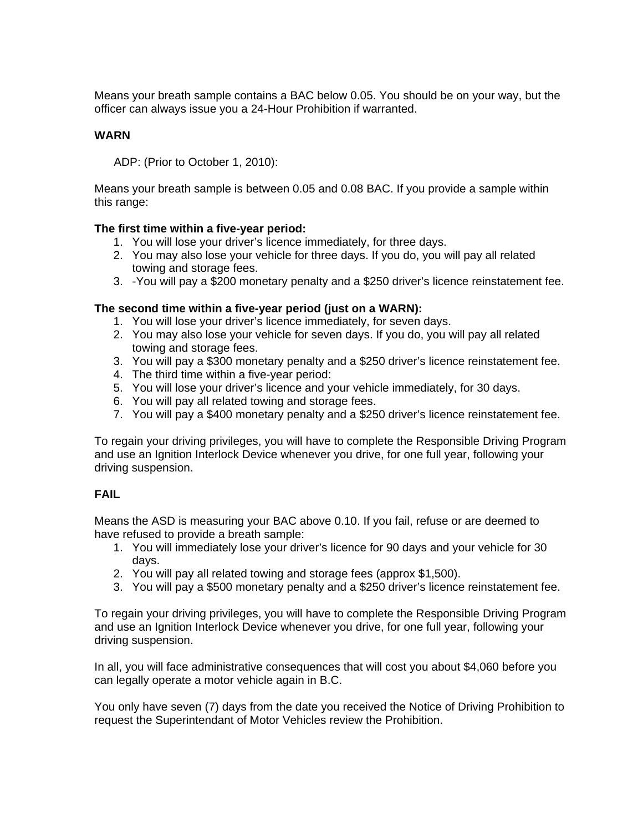Means your breath sample contains a BAC below 0.05. You should be on your way, but the officer can always issue you a 24-Hour Prohibition if warranted.

#### **WARN**

ADP: (Prior to October 1, 2010):

Means your breath sample is between 0.05 and 0.08 BAC. If you provide a sample within this range:

#### **The first time within a five-year period:**

- 1. You will lose your driver's licence immediately, for three days.
- 2. You may also lose your vehicle for three days. If you do, you will pay all related towing and storage fees.
- 3. -You will pay a \$200 monetary penalty and a \$250 driver's licence reinstatement fee.

#### **The second time within a five-year period (just on a WARN):**

- 1. You will lose your driver's licence immediately, for seven days.
- 2. You may also lose your vehicle for seven days. If you do, you will pay all related towing and storage fees.
- 3. You will pay a \$300 monetary penalty and a \$250 driver's licence reinstatement fee.
- 4. The third time within a five-year period:
- 5. You will lose your driver's licence and your vehicle immediately, for 30 days.
- 6. You will pay all related towing and storage fees.
- 7. You will pay a \$400 monetary penalty and a \$250 driver's licence reinstatement fee.

To regain your driving privileges, you will have to complete the Responsible Driving Program and use an Ignition Interlock Device whenever you drive, for one full year, following your driving suspension.

## **FAIL**

Means the ASD is measuring your BAC above 0.10. If you fail, refuse or are deemed to have refused to provide a breath sample:

- 1. You will immediately lose your driver's licence for 90 days and your vehicle for 30 days.
- 2. You will pay all related towing and storage fees (approx \$1,500).
- 3. You will pay a \$500 monetary penalty and a \$250 driver's licence reinstatement fee.

To regain your driving privileges, you will have to complete the Responsible Driving Program and use an Ignition Interlock Device whenever you drive, for one full year, following your driving suspension.

In all, you will face administrative consequences that will cost you about \$4,060 before you can legally operate a motor vehicle again in B.C.

You only have seven (7) days from the date you received the Notice of Driving Prohibition to request the Superintendant of Motor Vehicles review the Prohibition.